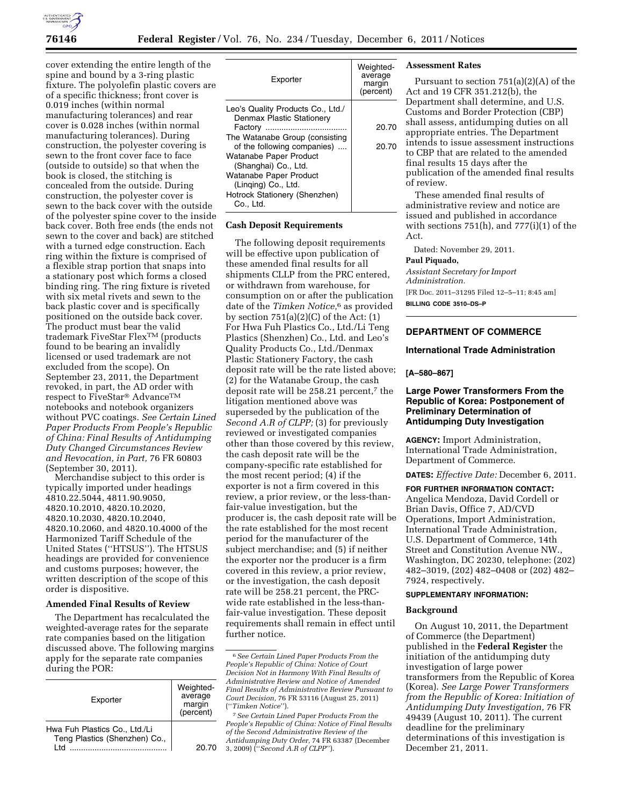

cover extending the entire length of the spine and bound by a 3-ring plastic fixture. The polyolefin plastic covers are of a specific thickness; front cover is 0.019 inches (within normal manufacturing tolerances) and rear cover is 0.028 inches (within normal manufacturing tolerances). During construction, the polyester covering is sewn to the front cover face to face (outside to outside) so that when the book is closed, the stitching is concealed from the outside. During construction, the polyester cover is sewn to the back cover with the outside of the polyester spine cover to the inside back cover. Both free ends (the ends not sewn to the cover and back) are stitched with a turned edge construction. Each ring within the fixture is comprised of a flexible strap portion that snaps into a stationary post which forms a closed binding ring. The ring fixture is riveted with six metal rivets and sewn to the back plastic cover and is specifically positioned on the outside back cover. The product must bear the valid trademark FiveStar FlexTM (products found to be bearing an invalidly licensed or used trademark are not excluded from the scope). On September 23, 2011, the Department revoked, in part, the AD order with respect to FiveStar® AdvanceTM notebooks and notebook organizers without PVC coatings. *See Certain Lined Paper Products From People's Republic of China: Final Results of Antidumping Duty Changed Circumstances Review and Revocation, in Part,* 76 FR 60803 (September 30, 2011).

Merchandise subject to this order is typically imported under headings 4810.22.5044, 4811.90.9050, 4820.10.2010, 4820.10.2020, 4820.10.2030, 4820.10.2040, 4820.10.2060, and 4820.10.4000 of the Harmonized Tariff Schedule of the United States (''HTSUS''). The HTSUS headings are provided for convenience and customs purposes; however, the written description of the scope of this order is dispositive.

# **Amended Final Results of Review**

The Department has recalculated the weighted-average rates for the separate rate companies based on the litigation discussed above. The following margins apply for the separate rate companies during the POR:

| average<br>margin<br>(percent) |
|--------------------------------|
| 20 70                          |
|                                |

| Exporter                                                       | Weighted-<br>average<br>margin<br>(percent) |
|----------------------------------------------------------------|---------------------------------------------|
| Leo's Quality Products Co., Ltd./<br>Denmax Plastic Stationery |                                             |
|                                                                | 20.70                                       |
| The Watanabe Group (consisting<br>of the following companies)  | 20.70                                       |
| Watanabe Paper Product<br>(Shanghai) Co., Ltd.                 |                                             |
| Watanabe Paper Product<br>(Linging) Co., Ltd.                  |                                             |
| Hotrock Stationery (Shenzhen)<br>Co Ltd.                       |                                             |

#### **Cash Deposit Requirements**

The following deposit requirements will be effective upon publication of these amended final results for all shipments CLLP from the PRC entered, or withdrawn from warehouse, for consumption on or after the publication date of the *Timken Notice,*6 as provided by section  $751(a)(2)(C)$  of the Act:  $(1)$ For Hwa Fuh Plastics Co., Ltd./Li Teng Plastics (Shenzhen) Co., Ltd. and Leo's Quality Products Co., Ltd./Denmax Plastic Stationery Factory, the cash deposit rate will be the rate listed above; (2) for the Watanabe Group, the cash deposit rate will be 258.21 percent,<sup>7</sup> the litigation mentioned above was superseded by the publication of the *Second A.R of CLPP;* (3) for previously reviewed or investigated companies other than those covered by this review, the cash deposit rate will be the company-specific rate established for the most recent period; (4) if the exporter is not a firm covered in this review, a prior review, or the less-thanfair-value investigation, but the producer is, the cash deposit rate will be the rate established for the most recent period for the manufacturer of the subject merchandise; and (5) if neither the exporter nor the producer is a firm covered in this review, a prior review, or the investigation, the cash deposit rate will be 258.21 percent, the PRCwide rate established in the less-thanfair-value investigation. These deposit requirements shall remain in effect until further notice.

# **Assessment Rates**

Pursuant to section 751(a)(2)(A) of the Act and 19 CFR 351.212(b), the Department shall determine, and U.S. Customs and Border Protection (CBP) shall assess, antidumping duties on all appropriate entries. The Department intends to issue assessment instructions to CBP that are related to the amended final results 15 days after the publication of the amended final results of review.

These amended final results of administrative review and notice are issued and published in accordance with sections 751(h), and 777(i)(1) of the Act.

Dated: November 29, 2011.

### **Paul Piquado,**

*Assistant Secretary for Import Administration.*  [FR Doc. 2011–31295 Filed 12–5–11; 8:45 am]

**BILLING CODE 3510–DS–P** 

# **DEPARTMENT OF COMMERCE**

#### **International Trade Administration**

#### **[A–580–867]**

### **Large Power Transformers From the Republic of Korea: Postponement of Preliminary Determination of Antidumping Duty Investigation**

**AGENCY:** Import Administration, International Trade Administration, Department of Commerce.

**DATES:** *Effective Date:* December 6, 2011.

**FOR FURTHER INFORMATION CONTACT:** 

Angelica Mendoza, David Cordell or Brian Davis, Office 7, AD/CVD Operations, Import Administration, International Trade Administration, U.S. Department of Commerce, 14th Street and Constitution Avenue NW., Washington, DC 20230, telephone: (202) 482–3019, (202) 482–0408 or (202) 482– 7924, respectively.

### **SUPPLEMENTARY INFORMATION:**

#### **Background**

On August 10, 2011, the Department of Commerce (the Department) published in the **Federal Register** the initiation of the antidumping duty investigation of large power transformers from the Republic of Korea (Korea). *See Large Power Transformers from the Republic of Korea: Initiation of Antidumping Duty Investigation,* 76 FR 49439 (August 10, 2011). The current deadline for the preliminary determinations of this investigation is December 21, 2011.

<sup>6</sup>*See Certain Lined Paper Products From the People's Republic of China: Notice of Court Decision Not in Harmony With Final Results of Administrative Review and Notice of Amended Final Results of Administrative Review Pursuant to Court Decision,* 76 FR 53116 (August 25, 2011) (''*Timken Notice*'').

<sup>7</sup>*See Certain Lined Paper Products From the People's Republic of China: Notice of Final Results of the Second Administrative Review of the Antidumping Duty Order,* 74 FR 63387 (December 3, 2009) (''*Second A.R of CLPP*'').